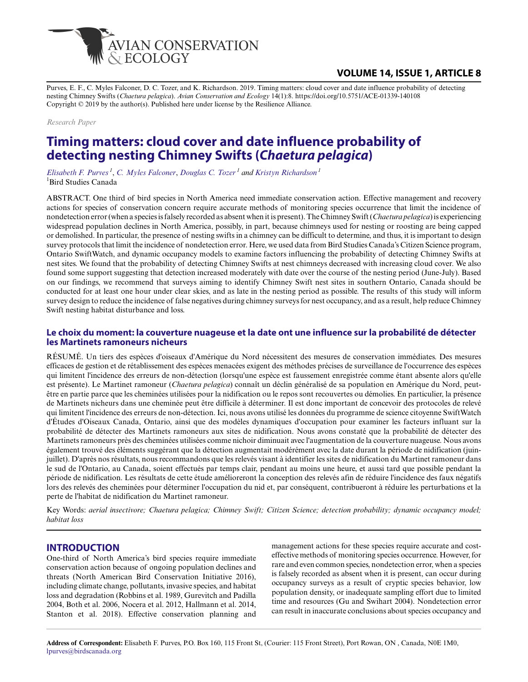

# **VOLUME 14, ISSUE 1, ARTICLE 8**

Purves, E. F., C. Myles Falconer, D. C. Tozer, and K. Richardson. 2019. Timing matters: cloud cover and date influence probability of detecting nesting Chimney Swifts (*Chaetura pelagica*). *Avian Conservation and Ecology* 14(1):8. https://doi.org/10.5751/ACE-01339-140108 Copyright © 2019 by the author(s). Published here under license by the Resilience Alliance.

*Research Paper*

# **Timing matters: cloud cover and date influence probability of detecting nesting Chimney Swifts (***Chaetura pelagica***)**

*[Elisabeth F. Purves](mailto:lpurves@birdscanada.org)<sup>1</sup>* , *[C. Myles Falconer](mailto:mylesfalconer@yahoo.ca)*, *[Douglas C. Tozer](mailto:dtozer@birdscanada.org)<sup>1</sup> and [Kristyn Richardson](mailto:kristyn.richardson@gmail.com)<sup>1</sup>* <sup>1</sup>Bird Studies Canada

ABSTRACT. One third of bird species in North America need immediate conservation action. Effective management and recovery actions for species of conservation concern require accurate methods of monitoring species occurrence that limit the incidence of nondetection error (when a species is falsely recorded as absent when it is present). The Chimney Swift (*Chaetura pelagica*) is experiencing widespread population declines in North America, possibly, in part, because chimneys used for nesting or roosting are being capped or demolished. In particular, the presence of nesting swifts in a chimney can be difficult to determine, and thus, it is important to design survey protocols that limit the incidence of nondetection error. Here, we used data from Bird Studies Canada's Citizen Science program, Ontario SwiftWatch, and dynamic occupancy models to examine factors influencing the probability of detecting Chimney Swifts at nest sites. We found that the probability of detecting Chimney Swifts at nest chimneys decreased with increasing cloud cover. We also found some support suggesting that detection increased moderately with date over the course of the nesting period (June-July). Based on our findings, we recommend that surveys aiming to identify Chimney Swift nest sites in southern Ontario, Canada should be conducted for at least one hour under clear skies, and as late in the nesting period as possible. The results of this study will inform survey design to reduce the incidence of false negatives during chimney surveys for nest occupancy, and as a result, help reduce Chimney Swift nesting habitat disturbance and loss.

#### **Le choix du moment: la couverture nuageuse et la date ont une influence sur la probabilité de détecter les Martinets ramoneurs nicheurs**

RÉSUMÉ. Un tiers des espèces d'oiseaux d'Amérique du Nord nécessitent des mesures de conservation immédiates. Des mesures efficaces de gestion et de rétablissement des espèces menacées exigent des méthodes précises de surveillance de l'occurrence des espèces qui limitent l'incidence des erreurs de non-détection (lorsqu'une espèce est faussement enregistrée comme étant absente alors qu'elle est présente). Le Martinet ramoneur (*Chaetura pelagica*) connaît un déclin généralisé de sa population en Amérique du Nord, peutêtre en partie parce que les cheminées utilisées pour la nidification ou le repos sont recouvertes ou démolies. En particulier, la présence de Martinets nicheurs dans une cheminée peut être difficile à déterminer. Il est donc important de concevoir des protocoles de relevé qui limitent l'incidence des erreurs de non-détection. Ici, nous avons utilisé les données du programme de science citoyenne SwiftWatch d'Études d'Oiseaux Canada, Ontario, ainsi que des modèles dynamiques d'occupation pour examiner les facteurs influant sur la probabilité de détecter des Martinets ramoneurs aux sites de nidification. Nous avons constaté que la probabilité de détecter des Martinets ramoneurs près des cheminées utilisées comme nichoir diminuait avec l'augmentation de la couverture nuageuse. Nous avons également trouvé des éléments suggérant que la détection augmentait modérément avec la date durant la période de nidification (juinjuillet). D'après nos résultats, nous recommandons que les relevés visant à identifier les sites de nidification du Martinet ramoneur dans le sud de l'Ontario, au Canada, soient effectués par temps clair, pendant au moins une heure, et aussi tard que possible pendant la période de nidification. Les résultats de cette étude amélioreront la conception des relevés afin de réduire l'incidence des faux négatifs lors des relevés des cheminées pour déterminer l'occupation du nid et, par conséquent, contribueront à réduire les perturbations et la perte de l'habitat de nidification du Martinet ramoneur.

Key Words: *aerial insectivore; Chaetura pelagica; Chimney Swift; Citizen Science; detection probability; dynamic occupancy model; habitat loss*

### **INTRODUCTION**

One-third of North America's bird species require immediate conservation action because of ongoing population declines and threats (North American Bird Conservation Initiative 2016), including climate change, pollutants, invasive species, and habitat loss and degradation (Robbins et al. 1989, Gurevitch and Padilla 2004, Both et al. 2006, Nocera et al. 2012, Hallmann et al. 2014, Stanton et al. 2018). Effective conservation planning and management actions for these species require accurate and costeffective methods of monitoring species occurrence. However, for rare and even common species, nondetection error, when a species is falsely recorded as absent when it is present, can occur during occupancy surveys as a result of cryptic species behavior, low population density, or inadequate sampling effort due to limited time and resources (Gu and Swihart 2004). Nondetection error can result in inaccurate conclusions about species occupancy and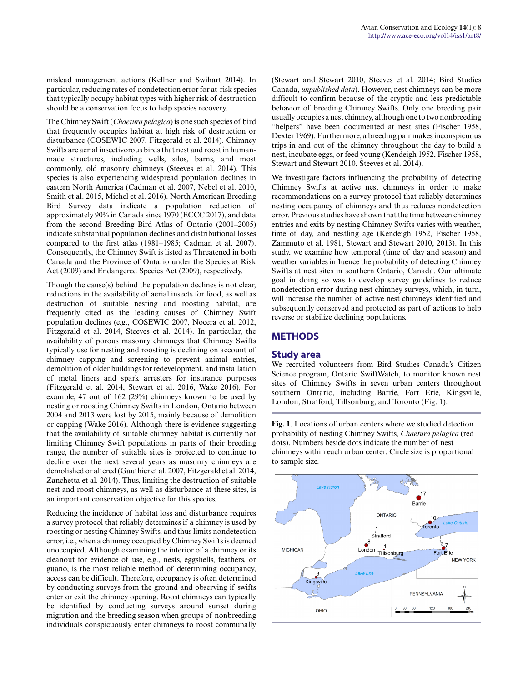mislead management actions (Kellner and Swihart 2014). In particular, reducing rates of nondetection error for at-risk species that typically occupy habitat types with higher risk of destruction should be a conservation focus to help species recovery.

The Chimney Swift (*Chaetura pelagica*) is one such species of bird that frequently occupies habitat at high risk of destruction or disturbance (COSEWIC 2007, Fitzgerald et al. 2014). Chimney Swifts are aerial insectivorous birds that nest and roost in humanmade structures, including wells, silos, barns, and most commonly, old masonry chimneys (Steeves et al. 2014). This species is also experiencing widespread population declines in eastern North America (Cadman et al. 2007, Nebel et al. 2010, Smith et al. 2015, Michel et al. 2016). North American Breeding Bird Survey data indicate a population reduction of approximately 90% in Canada since 1970 (ECCC 2017), and data from the second Breeding Bird Atlas of Ontario (2001–2005) indicate substantial population declines and distributional losses compared to the first atlas (1981–1985; Cadman et al. 2007). Consequently, the Chimney Swift is listed as Threatened in both Canada and the Province of Ontario under the Species at Risk Act (2009) and Endangered Species Act (2009), respectively.

Though the cause(s) behind the population declines is not clear, reductions in the availability of aerial insects for food, as well as destruction of suitable nesting and roosting habitat, are frequently cited as the leading causes of Chimney Swift population declines (e.g., COSEWIC 2007, Nocera et al. 2012, Fitzgerald et al. 2014, Steeves et al. 2014). In particular, the availability of porous masonry chimneys that Chimney Swifts typically use for nesting and roosting is declining on account of chimney capping and screening to prevent animal entries, demolition of older buildings for redevelopment, and installation of metal liners and spark arresters for insurance purposes (Fitzgerald et al. 2014, Stewart et al. 2016, Wake 2016). For example, 47 out of 162 (29%) chimneys known to be used by nesting or roosting Chimney Swifts in London, Ontario between 2004 and 2013 were lost by 2015, mainly because of demolition or capping (Wake 2016). Although there is evidence suggesting that the availability of suitable chimney habitat is currently not limiting Chimney Swift populations in parts of their breeding range, the number of suitable sites is projected to continue to decline over the next several years as masonry chimneys are demolished or altered (Gauthier et al. 2007, Fitzgerald et al. 2014, Zanchetta et al. 2014). Thus, limiting the destruction of suitable nest and roost chimneys, as well as disturbance at these sites, is an important conservation objective for this species.

Reducing the incidence of habitat loss and disturbance requires a survey protocol that reliably determines if a chimney is used by roosting or nesting Chimney Swifts, and thus limits nondetection error, i.e., when a chimney occupied by Chimney Swifts is deemed unoccupied. Although examining the interior of a chimney or its cleanout for evidence of use, e.g., nests, eggshells, feathers, or guano, is the most reliable method of determining occupancy, access can be difficult. Therefore, occupancy is often determined by conducting surveys from the ground and observing if swifts enter or exit the chimney opening. Roost chimneys can typically be identified by conducting surveys around sunset during migration and the breeding season when groups of nonbreeding individuals conspicuously enter chimneys to roost communally

(Stewart and Stewart 2010, Steeves et al. 2014; Bird Studies Canada, *unpublished data*). However, nest chimneys can be more difficult to confirm because of the cryptic and less predictable behavior of breeding Chimney Swifts. Only one breeding pair usually occupies a nest chimney, although one to two nonbreeding "helpers" have been documented at nest sites (Fischer 1958, Dexter 1969). Furthermore, a breeding pair makes inconspicuous trips in and out of the chimney throughout the day to build a nest, incubate eggs, or feed young (Kendeigh 1952, Fischer 1958, Stewart and Stewart 2010, Steeves et al. 2014).

We investigate factors influencing the probability of detecting Chimney Swifts at active nest chimneys in order to make recommendations on a survey protocol that reliably determines nesting occupancy of chimneys and thus reduces nondetection error. Previous studies have shown that the time between chimney entries and exits by nesting Chimney Swifts varies with weather, time of day, and nestling age (Kendeigh 1952, Fischer 1958, Zammuto et al. 1981, Stewart and Stewart 2010, 2013). In this study, we examine how temporal (time of day and season) and weather variables influence the probability of detecting Chimney Swifts at nest sites in southern Ontario, Canada. Our ultimate goal in doing so was to develop survey guidelines to reduce nondetection error during nest chimney surveys, which, in turn, will increase the number of active nest chimneys identified and subsequently conserved and protected as part of actions to help reverse or stabilize declining populations.

## **METHODS**

### **Study area**

We recruited volunteers from Bird Studies Canada's Citizen Science program, Ontario SwiftWatch, to monitor known nest sites of Chimney Swifts in seven urban centers throughout southern Ontario, including Barrie, Fort Erie, Kingsville, London, Stratford, Tillsonburg, and Toronto (Fig. 1).

**Fig. 1**. Locations of urban centers where we studied detection probability of nesting Chimney Swifts, *Chaetura pelagica* (red dots). Numbers beside dots indicate the number of nest chimneys within each urban center. Circle size is proportional to sample size.

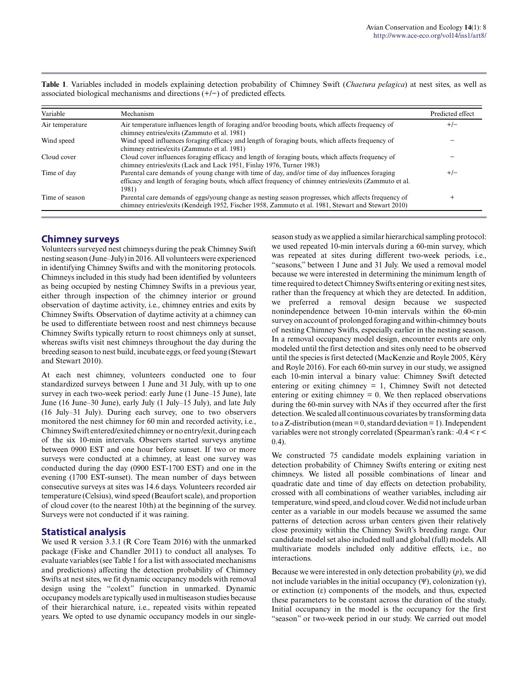**Table 1**. Variables included in models explaining detection probability of Chimney Swift (*Chaetura pelagica*) at nest sites, as well as associated biological mechanisms and directions (+/−) of predicted effects.

| Variable        | Mechanism                                                                                                                                                                                                         | Predicted effect |
|-----------------|-------------------------------------------------------------------------------------------------------------------------------------------------------------------------------------------------------------------|------------------|
| Air temperature | Air temperature influences length of foraging and/or brooding bouts, which affects frequency of<br>chimney entries/exits (Zammuto et al. 1981)                                                                    | $+/-$            |
| Wind speed      | Wind speed influences foraging efficacy and length of foraging bouts, which affects frequency of<br>chimney entries/exits (Zammuto et al. 1981)                                                                   |                  |
| Cloud cover     | Cloud cover influences foraging efficacy and length of foraging bouts, which affects frequency of<br>chimney entries/exits (Lack and Lack 1951, Finlay 1976, Turner 1983)                                         |                  |
| Time of day     | Parental care demands of young change with time of day, and/or time of day influences foraging<br>efficacy and length of foraging bouts, which affect frequency of chimney entries/exits (Zammuto et al.<br>1981) | $+/-$            |
| Time of season  | Parental care demands of eggs/young change as nesting season progresses, which affects frequency of<br>chimney entries/exits (Kendeigh 1952, Fischer 1958, Zammuto et al. 1981, Stewart and Stewart 2010)         |                  |

# **Chimney surveys**

Volunteers surveyed nest chimneys during the peak Chimney Swift nesting season (June–July) in 2016. All volunteers were experienced in identifying Chimney Swifts and with the monitoring protocols. Chimneys included in this study had been identified by volunteers as being occupied by nesting Chimney Swifts in a previous year, either through inspection of the chimney interior or ground observation of daytime activity, i.e., chimney entries and exits by Chimney Swifts. Observation of daytime activity at a chimney can be used to differentiate between roost and nest chimneys because Chimney Swifts typically return to roost chimneys only at sunset, whereas swifts visit nest chimneys throughout the day during the breeding season to nest build, incubate eggs, or feed young (Stewart and Stewart 2010).

At each nest chimney, volunteers conducted one to four standardized surveys between 1 June and 31 July, with up to one survey in each two-week period: early June (1 June–15 June), late June (16 June–30 June), early July (1 July–15 July), and late July (16 July–31 July). During each survey, one to two observers monitored the nest chimney for 60 min and recorded activity, i.e., Chimney Swift entered/exited chimney or no entry/exit, during each of the six 10-min intervals. Observers started surveys anytime between 0900 EST and one hour before sunset. If two or more surveys were conducted at a chimney, at least one survey was conducted during the day (0900 EST-1700 EST) and one in the evening (1700 EST-sunset). The mean number of days between consecutive surveys at sites was 14.6 days. Volunteers recorded air temperature (Celsius), wind speed (Beaufort scale), and proportion of cloud cover (to the nearest 10th) at the beginning of the survey. Surveys were not conducted if it was raining.

# **Statistical analysis**

We used R version 3.3.1 (R Core Team 2016) with the unmarked package (Fiske and Chandler 2011) to conduct all analyses. To evaluate variables (see Table 1 for a list with associated mechanisms and predictions) affecting the detection probability of Chimney Swifts at nest sites, we fit dynamic occupancy models with removal design using the "colext" function in unmarked. Dynamic occupancy models are typically used in multiseason studies because of their hierarchical nature, i.e., repeated visits within repeated years. We opted to use dynamic occupancy models in our singleseason study as we applied a similar hierarchical sampling protocol: we used repeated 10-min intervals during a 60-min survey, which was repeated at sites during different two-week periods, i.e., "seasons," between 1 June and 31 July. We used a removal model because we were interested in determining the minimum length of time required to detect Chimney Swifts entering or exiting nest sites, rather than the frequency at which they are detected. In addition, we preferred a removal design because we suspected nonindependence between 10-min intervals within the 60-min survey on account of prolonged foraging and within-chimney bouts of nesting Chimney Swifts, especially earlier in the nesting season. In a removal occupancy model design, encounter events are only modeled until the first detection and sites only need to be observed until the species is first detected (MacKenzie and Royle 2005, Kéry and Royle 2016). For each 60-min survey in our study, we assigned each 10-min interval a binary value: Chimney Swift detected entering or exiting chimney  $= 1$ , Chimney Swift not detected entering or exiting chimney  $= 0$ . We then replaced observations during the 60-min survey with NAs if they occurred after the first detection. We scaled all continuous covariates by transforming data to a Z-distribution (mean  $= 0$ , standard deviation  $= 1$ ). Independent variables were not strongly correlated (Spearman's rank: -0.4 < r < 0.4).

We constructed 75 candidate models explaining variation in detection probability of Chimney Swifts entering or exiting nest chimneys. We listed all possible combinations of linear and quadratic date and time of day effects on detection probability, crossed with all combinations of weather variables, including air temperature, wind speed, and cloud cover. We did not include urban center as a variable in our models because we assumed the same patterns of detection across urban centers given their relatively close proximity within the Chimney Swift's breeding range. Our candidate model set also included null and global (full) models. All multivariate models included only additive effects, i.e., no interactions.

Because we were interested in only detection probability (*p*), we did not include variables in the initial occupancy (Ψ), colonization (γ), or extinction (ε) components of the models, and thus, expected these parameters to be constant across the duration of the study. Initial occupancy in the model is the occupancy for the first "season" or two-week period in our study. We carried out model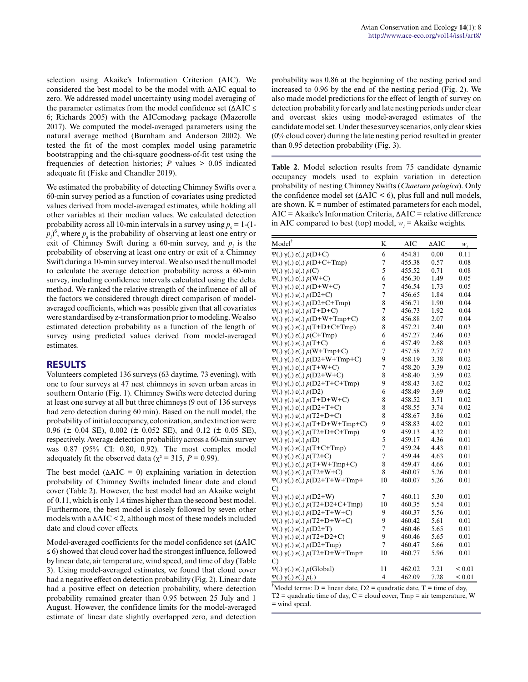selection using Akaike's Information Criterion (AIC). We considered the best model to be the model with ΔAIC equal to zero. We addressed model uncertainty using model averaging of the parameter estimates from the model confidence set (ΔAIC ≤ 6; Richards 2005) with the AICcmodavg package (Mazerolle 2017). We computed the model-averaged parameters using the natural average method (Burnham and Anderson 2002). We tested the fit of the most complex model using parametric bootstrapping and the chi-square goodness-of-fit test using the frequencies of detection histories; *P* values > 0.05 indicated adequate fit (Fiske and Chandler 2019).

We estimated the probability of detecting Chimney Swifts over a 60-min survey period as a function of covariates using predicted values derived from model-averaged estimates, while holding all other variables at their median values. We calculated detection probability across all 10-min intervals in a survey using  $p_s = 1-(1-\epsilon)$  $p_i$ <sup>6</sup>, where  $p_s$  is the probability of observing at least one entry or exit of Chimney Swift during a 60-min survey, and  $p_i$  is the probability of observing at least one entry or exit of a Chimney Swift during a 10-min survey interval. We also used the null model to calculate the average detection probability across a 60-min survey, including confidence intervals calculated using the delta method. We ranked the relative strength of the influence of all of the factors we considered through direct comparison of modelaveraged coefficients, which was possible given that all covariates were standardised by z-transformation prior to modeling. We also estimated detection probability as a function of the length of survey using predicted values derived from model-averaged estimates.

# **RESULTS**

Volunteers completed 136 surveys (63 daytime, 73 evening), with one to four surveys at 47 nest chimneys in seven urban areas in southern Ontario (Fig. 1). Chimney Swifts were detected during at least one survey at all but three chimneys (9 out of 136 surveys had zero detection during 60 min). Based on the null model, the probability of initial occupancy, colonization, and extinction were 0.96 (± 0.04 SE), 0.002 (± 0.052 SE), and 0.12 (± 0.05 SE), respectively. Average detection probability across a 60-min survey was 0.87 (95% CI: 0.80, 0.92). The most complex model adequately fit the observed data ( $\chi^2 = 315$ ,  $P = 0.99$ ).

The best model ( $\triangle AIC = 0$ ) explaining variation in detection probability of Chimney Swifts included linear date and cloud cover (Table 2). However, the best model had an Akaike weight of 0.11, which is only 1.4 times higher than the second best model. Furthermore, the best model is closely followed by seven other models with a ΔAIC < 2, although most of these models included date and cloud cover effects.

Model-averaged coefficients for the model confidence set (ΔAIC ≤ 6) showed that cloud cover had the strongest influence, followed by linear date, air temperature, wind speed, and time of day (Table 3). Using model-averaged estimates, we found that cloud cover had a negative effect on detection probability (Fig. 2). Linear date had a positive effect on detection probability, where detection probability remained greater than 0.95 between 25 July and 1 August. However, the confidence limits for the model-averaged estimate of linear date slightly overlapped zero, and detection

probability was 0.86 at the beginning of the nesting period and increased to 0.96 by the end of the nesting period (Fig. 2). We also made model predictions for the effect of length of survey on detection probability for early and late nesting periods under clear and overcast skies using model-averaged estimates of the candidate model set. Under these survey scenarios, only clear skies (0% cloud cover) during the late nesting period resulted in greater than 0.95 detection probability (Fig. 3).

**Table 2**. Model selection results from 75 candidate dynamic occupancy models used to explain variation in detection probability of nesting Chimney Swifts (*Chaetura pelagica*). Only the confidence model set  $(\Delta AIC \le 6)$ , plus full and null models, are shown.  $K =$  number of estimated parameters for each model, AIC = Akaike's Information Criteria, ΔAIC = relative difference in AIC compared to best (top) model,  $w_i$  = Akaike weights.

| $Model^{\dagger}$                                 | K              | <b>AIC</b> | $\triangle AIC$ | $W_i$       |
|---------------------------------------------------|----------------|------------|-----------------|-------------|
| $\Psi(.) \gamma(.) \varepsilon(.) p(D+C)$         | 6              | 454.81     | 0.00            | 0.11        |
| $Ψ(.) γ(.) ε(.) p(D+C+Tmp)$                       | $\overline{7}$ | 455.38     | 0.57            | 0.08        |
| $\Psi(.) \gamma(.) \varepsilon(.) p(C)$           | 5              | 455.52     | 0.71            | 0.08        |
| $\Psi(.) \gamma(.) \varepsilon(.) p(W+C)$         | 6              | 456.30     | 1.49            | 0.05        |
| $\Psi(.) \gamma(.) \varepsilon(.) p(D+W+C)$       | $\overline{7}$ | 456.54     | 1.73            | 0.05        |
| $Ψ(.)$ γ(.) ε(.) $p(D2+C)$                        | $\overline{7}$ | 456.65     | 1.84            | 0.04        |
| $Ψ(.) γ(.) ε(.) p(D2+C+Tmp)$                      | 8              | 456.71     | 1.90            | 0.04        |
| $\Psi(.) \gamma(.) \varepsilon(.) p(T+D+C)$       | $\overline{7}$ | 456.73     | 1.92            | 0.04        |
| $Ψ(.) γ(.) ε(.) p(D+W+Tmp+C)$                     | 8              | 456.88     | 2.07            | 0.04        |
| Ψ(.) γ(.) ε(.) $p(T+D+C+Tmp)$                     | 8              | 457.21     | 2.40            | 0.03        |
| $Ψ(.)$ γ(.) ε(.) $p(C+Tmp)$                       | 6              | 457.27     | 2.46            | 0.03        |
| $\Psi(.) \gamma(.) \varepsilon(.) p(T+C)$         | 6              | 457.49     | 2.68            | 0.03        |
| $\Psi(.) \gamma(.) \varepsilon(.) p(W+Tmp+C)$     | $\overline{7}$ | 457.58     | 2.77            | 0.03        |
| Ψ(.) γ(.) ε(.) $p(D2+W+Tmp+C)$                    | 9              | 458.19     | 3.38            | 0.02        |
| $\Psi(.) \gamma(.) \varepsilon(.) p(T+W+C)$       | $\overline{7}$ | 458.20     | 3.39            | 0.02        |
| $\Psi(.) \gamma(.) \varepsilon(.) p(D2+W+C)$      | 8              | 458.40     | 3.59            | 0.02        |
| Ψ(.) γ(.) ε(.) $p(D2+T+C+Tmp)$                    | 9              | 458.43     | 3.62            | 0.02        |
| Ψ(.) γ(.) ε(.) p(D2)                              | 6              | 458.49     | 3.69            | 0.02        |
| $\Psi(.) \gamma(.) \varepsilon(.) p(T+D+W+C)$     | 8              | 458.52     | 3.71            | 0.02        |
| $\Psi(.) \gamma(.) \varepsilon(.) p(D2+T+C)$      | 8              | 458.55     | 3.74            | 0.02        |
| $\Psi(.) \gamma(.) \varepsilon(.) p(T2+D+C)$      | 8              | 458.67     | 3.86            | 0.02        |
| $\Psi(.) \gamma(.) \varepsilon(.) p(T+D+W+Tmp+C)$ | 9              | 458.83     | 4.02            | 0.01        |
| $Ψ(.) γ(.) ε(.) p(T2+D+C+Tmp)$                    | 9              | 459.13     | 4.32            | 0.01        |
| $\Psi(.) \gamma(.) \varepsilon(.) p(D)$           | 5              | 459.17     | 4.36            | 0.01        |
| $Ψ(.) γ(.) ε(.) p(T+C+Tmp)$                       | $\overline{7}$ | 459.24     | 4.43            | 0.01        |
| $\Psi(.) \gamma(.) \varepsilon(.) p(T2+C)$        | $\overline{7}$ | 459.44     | 4.63            | 0.01        |
| $\Psi(.)$ γ(.) ε(.) $p(T+W+Tmp+C)$                | 8              | 459.47     | 4.66            | 0.01        |
| $Ψ(.) γ(.) ε(.) p(T2+W+C)$                        | 8              | 460.07     | 5.26            | 0.01        |
| $\Psi(.) \gamma(.) \varepsilon(.) p(D2+T+W+Tmp+$  | 10             | 460.07     | 5.26            | 0.01        |
| $\mathcal{C}$                                     |                |            |                 |             |
| $\Psi(.) \gamma(.) \varepsilon(.) p(D2+W)$        | 7              | 460.11     | 5.30            | 0.01        |
| $Ψ(.) γ(.) ε(.) p(T2+D2+C+Tmp)$                   | 10             | 460.35     | 5.54            | 0.01        |
| $Ψ(.) γ(.) ε(.) p(D2+T+W+C)$                      | 9              | 460.37     | 5.56            | 0.01        |
| $\Psi(.) \gamma(.) \varepsilon(.) p(T2+D+W+C)$    | 9              | 460.42     | 5.61            | 0.01        |
| $\Psi(.) \gamma(.) \varepsilon(.) p(D2+T)$        | $\overline{7}$ | 460.46     | 5.65            | 0.01        |
| $Ψ(.) γ(.) ε(.) p(T2+D2+C)$                       | 9              | 460.46     | 5.65            | 0.01        |
| $Ψ(.) γ(.) ε(.) p(D2+Tmp)$                        | 7              | 460.47     | 5.66            | 0.01        |
| $Ψ(.) γ(.) ε(.) p(T2+D+W+Tmp+$                    | 10             | 460.77     | 5.96            | 0.01        |
| $\mathcal{C}$                                     |                |            |                 |             |
| $\Psi(.) \gamma(.) \varepsilon(.) p(Global)$      | 11             | 462.02     | 7.21            | ${}_{0.01}$ |
| $\Psi(.) \gamma(.) \varepsilon(.) p(.)$           | $\overline{4}$ | 462.09     | 7.28            | ${}_{0.01}$ |

<sup>†</sup>Model terms: D = linear date, D2 = quadratic date, T = time of day,  $T2$  = quadratic time of day, C = cloud cover, Tmp = air temperature, W = wind speed.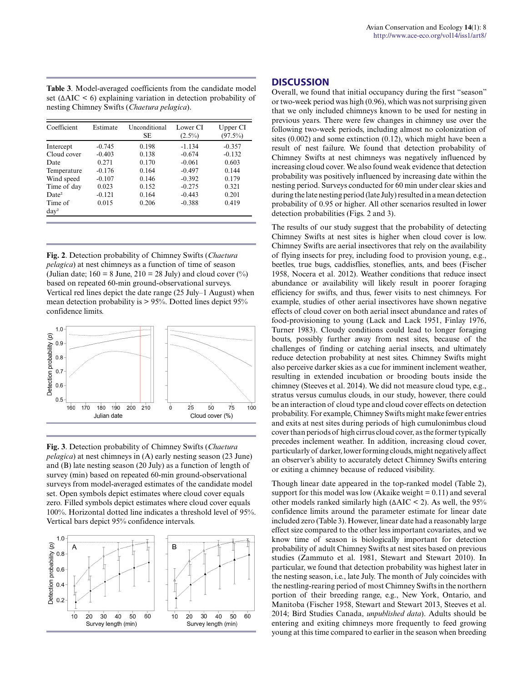**Table 3**. Model-averaged coefficients from the candidate model set (ΔAIC < 6) explaining variation in detection probability of nesting Chimney Swifts (*Chaetura pelagica*).

| Coefficient       | Estimate | Unconditional<br>SЕ | Lower CI<br>$(2.5\%)$ | Upper CI<br>$(97.5\%)$ |
|-------------------|----------|---------------------|-----------------------|------------------------|
| Intercept         | $-0.745$ | 0.198               | $-1.134$              | $-0.357$               |
| Cloud cover       | $-0.403$ | 0.138               | $-0.674$              | $-0.132$               |
| Date              | 0.271    | 0.170               | $-0.061$              | 0.603                  |
| Temperature       | $-0.176$ | 0.164               | $-0.497$              | 0.144                  |
| Wind speed        | $-0.107$ | 0.146               | $-0.392$              | 0.179                  |
| Time of day       | 0.023    | 0.152               | $-0.275$              | 0.321                  |
| Date <sup>2</sup> | $-0.121$ | 0.164               | $-0.443$              | 0.201                  |
| Time of           | 0.015    | 0.206               | $-0.388$              | 0.419                  |
| $day^2$           |          |                     |                       |                        |

**Fig. 2**. Detection probability of Chimney Swifts (*Chaetura pelagica*) at nest chimneys as a function of time of season (Julian date;  $160 = 8$  June,  $210 = 28$  July) and cloud cover  $\frac{9}{0}$ based on repeated 60-min ground-observational surveys. Vertical red lines depict the date range (25 July–1 August) when mean detection probability is  $> 95\%$ . Dotted lines depict  $95\%$ confidence limits.



**Fig. 3**. Detection probability of Chimney Swifts (*Chaetura pelagica*) at nest chimneys in (A) early nesting season (23 June) and (B) late nesting season (20 July) as a function of length of survey (min) based on repeated 60-min ground-observational surveys from model-averaged estimates of the candidate model set. Open symbols depict estimates where cloud cover equals zero. Filled symbols depict estimates where cloud cover equals 100%. Horizontal dotted line indicates a threshold level of 95%. Vertical bars depict 95% confidence intervals.



#### **DISCUSSION**

Overall, we found that initial occupancy during the first "season" or two-week period was high (0.96), which was not surprising given that we only included chimneys known to be used for nesting in previous years. There were few changes in chimney use over the following two-week periods, including almost no colonization of sites (0.002) and some extinction (0.12), which might have been a result of nest failure. We found that detection probability of Chimney Swifts at nest chimneys was negatively influenced by increasing cloud cover. We also found weak evidence that detection probability was positively influenced by increasing date within the nesting period. Surveys conducted for 60 min under clear skies and during the late nesting period (late July) resulted in a mean detection probability of 0.95 or higher. All other scenarios resulted in lower detection probabilities (Figs. 2 and 3).

The results of our study suggest that the probability of detecting Chimney Swifts at nest sites is higher when cloud cover is low. Chimney Swifts are aerial insectivores that rely on the availability of flying insects for prey, including food to provision young, e.g., beetles, true bugs, caddisflies, stoneflies, ants, and bees (Fischer 1958, Nocera et al. 2012). Weather conditions that reduce insect abundance or availability will likely result in poorer foraging efficiency for swifts, and thus, fewer visits to nest chimneys. For example, studies of other aerial insectivores have shown negative effects of cloud cover on both aerial insect abundance and rates of food-provisioning to young (Lack and Lack 1951, Finlay 1976, Turner 1983). Cloudy conditions could lead to longer foraging bouts, possibly further away from nest sites, because of the challenges of finding or catching aerial insects, and ultimately reduce detection probability at nest sites. Chimney Swifts might also perceive darker skies as a cue for imminent inclement weather, resulting in extended incubation or brooding bouts inside the chimney (Steeves et al. 2014). We did not measure cloud type, e.g., stratus versus cumulus clouds, in our study, however, there could be an interaction of cloud type and cloud cover effects on detection probability. For example, Chimney Swifts might make fewer entries and exits at nest sites during periods of high cumulonimbus cloud cover than periods of high cirrus cloud cover, as the former typically precedes inclement weather. In addition, increasing cloud cover, particularly of darker, lower forming clouds, might negatively affect an observer's ability to accurately detect Chimney Swifts entering or exiting a chimney because of reduced visibility.

Though linear date appeared in the top-ranked model (Table 2), support for this model was low (Akaike weight  $= 0.11$ ) and several other models ranked similarly high ( $\triangle AIC \le 2$ ). As well, the 95% confidence limits around the parameter estimate for linear date included zero (Table 3). However, linear date had a reasonably large effect size compared to the other less important covariates, and we know time of season is biologically important for detection probability of adult Chimney Swifts at nest sites based on previous studies (Zammuto et al. 1981, Stewart and Stewart 2010). In particular, we found that detection probability was highest later in the nesting season, i.e., late July. The month of July coincides with the nestling-rearing period of most Chimney Swifts in the northern portion of their breeding range, e.g., New York, Ontario, and Manitoba (Fischer 1958, Stewart and Stewart 2013, Steeves et al. 2014; Bird Studies Canada, *unpublished data*). Adults should be entering and exiting chimneys more frequently to feed growing young at this time compared to earlier in the season when breeding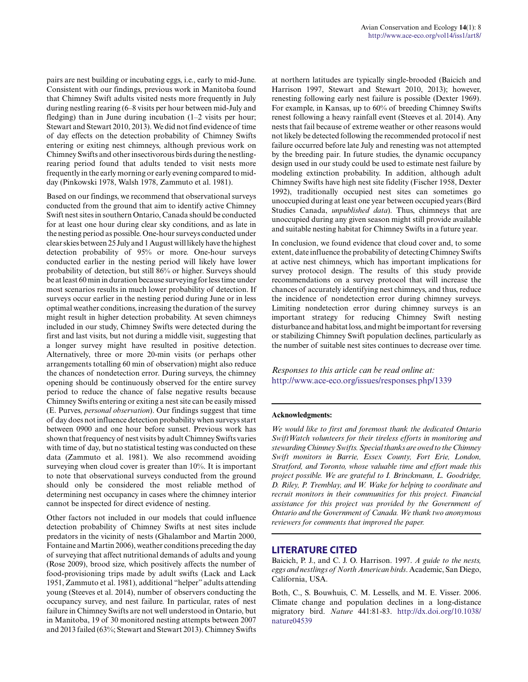pairs are nest building or incubating eggs, i.e., early to mid-June. Consistent with our findings, previous work in Manitoba found that Chimney Swift adults visited nests more frequently in July during nestling rearing (6–8 visits per hour between mid-July and fledging) than in June during incubation (1–2 visits per hour; Stewart and Stewart 2010, 2013). We did not find evidence of time of day effects on the detection probability of Chimney Swifts entering or exiting nest chimneys, although previous work on Chimney Swifts and other insectivorous birds during the nestlingrearing period found that adults tended to visit nests more frequently in the early morning or early evening compared to midday (Pinkowski 1978, Walsh 1978, Zammuto et al. 1981).

Based on our findings, we recommend that observational surveys conducted from the ground that aim to identify active Chimney Swift nest sites in southern Ontario, Canada should be conducted for at least one hour during clear sky conditions, and as late in the nesting period as possible. One-hour surveys conducted under clear skies between 25 July and 1 August will likely have the highest detection probability of 95% or more. One-hour surveys conducted earlier in the nesting period will likely have lower probability of detection, but still 86% or higher. Surveys should be at least 60 min in duration because surveying for less time under most scenarios results in much lower probability of detection. If surveys occur earlier in the nesting period during June or in less optimal weather conditions, increasing the duration of the survey might result in higher detection probability. At seven chimneys included in our study, Chimney Swifts were detected during the first and last visits, but not during a middle visit, suggesting that a longer survey might have resulted in positive detection. Alternatively, three or more 20-min visits (or perhaps other arrangements totalling 60 min of observation) might also reduce the chances of nondetection error. During surveys, the chimney opening should be continuously observed for the entire survey period to reduce the chance of false negative results because Chimney Swifts entering or exiting a nest site can be easily missed (E. Purves, *personal observation*). Our findings suggest that time of day does not influence detection probability when surveys start between 0900 and one hour before sunset. Previous work has shown that frequency of nest visits by adult Chimney Swifts varies with time of day, but no statistical testing was conducted on these data (Zammuto et al. 1981). We also recommend avoiding surveying when cloud cover is greater than 10%. It is important to note that observational surveys conducted from the ground should only be considered the most reliable method of determining nest occupancy in cases where the chimney interior cannot be inspected for direct evidence of nesting.

Other factors not included in our models that could influence detection probability of Chimney Swifts at nest sites include predators in the vicinity of nests (Ghalambor and Martin 2000, Fontaine and Martin 2006), weather conditions preceding the day of surveying that affect nutritional demands of adults and young (Rose 2009), brood size, which positively affects the number of food-provisioning trips made by adult swifts (Lack and Lack 1951, Zammuto et al. 1981), additional "helper" adults attending young (Steeves et al. 2014), number of observers conducting the occupancy survey, and nest failure. In particular, rates of nest failure in Chimney Swifts are not well understood in Ontario, but in Manitoba, 19 of 30 monitored nesting attempts between 2007 and 2013 failed (63%; Stewart and Stewart 2013). Chimney Swifts

at northern latitudes are typically single-brooded (Baicich and Harrison 1997, Stewart and Stewart 2010, 2013); however, renesting following early nest failure is possible (Dexter 1969). For example, in Kansas, up to 60% of breeding Chimney Swifts renest following a heavy rainfall event (Steeves et al. 2014). Any nests that fail because of extreme weather or other reasons would not likely be detected following the recommended protocol if nest failure occurred before late July and renesting was not attempted by the breeding pair. In future studies, the dynamic occupancy design used in our study could be used to estimate nest failure by modeling extinction probability. In addition, although adult Chimney Swifts have high nest site fidelity (Fischer 1958, Dexter 1992), traditionally occupied nest sites can sometimes go unoccupied during at least one year between occupied years (Bird Studies Canada, *unpublished data*). Thus, chimneys that are unoccupied during any given season might still provide available and suitable nesting habitat for Chimney Swifts in a future year.

In conclusion, we found evidence that cloud cover and, to some extent, date influence the probability of detecting Chimney Swifts at active nest chimneys, which has important implications for survey protocol design. The results of this study provide recommendations on a survey protocol that will increase the chances of accurately identifying nest chimneys, and thus, reduce the incidence of nondetection error during chimney surveys. Limiting nondetection error during chimney surveys is an important strategy for reducing Chimney Swift nesting disturbance and habitat loss, and might be important for reversing or stabilizing Chimney Swift population declines, particularly as the number of suitable nest sites continues to decrease over time.

*Responses to this article can be read online at:* <http://www.ace-eco.org/issues/responses.php/1339>

#### **Acknowledgments:**

*We would like to first and foremost thank the dedicated Ontario SwiftWatch volunteers for their tireless efforts in monitoring and stewarding Chimney Swifts. Special thanks are owed to the Chimney Swift monitors in Barrie, Essex County, Fort Erie, London, Stratford, and Toronto, whose valuable time and effort made this project possible. We are grateful to I. Brinckmann, L. Goodridge, D. Riley, P. Tremblay, and W. Wake for helping to coordinate and recruit monitors in their communities for this project. Financial assistance for this project was provided by the Government of Ontario and the Government of Canada. We thank two anonymous reviewers for comments that improved the paper.*

#### **LITERATURE CITED**

Baicich, P. J., and C. J. O. Harrison. 1997. *A guide to the nests, eggs and nestlings of North American birds*. Academic, San Diego, California, USA.

Both, C., S. Bouwhuis, C. M. Lessells, and M. E. Visser. 2006. Climate change and population declines in a long-distance migratory bird. *Nature* 441:81-83. [http://dx.doi.org/10.1038/](http://dx.doi.org/10.1038%2Fnature04539) [nature04539](http://dx.doi.org/10.1038%2Fnature04539)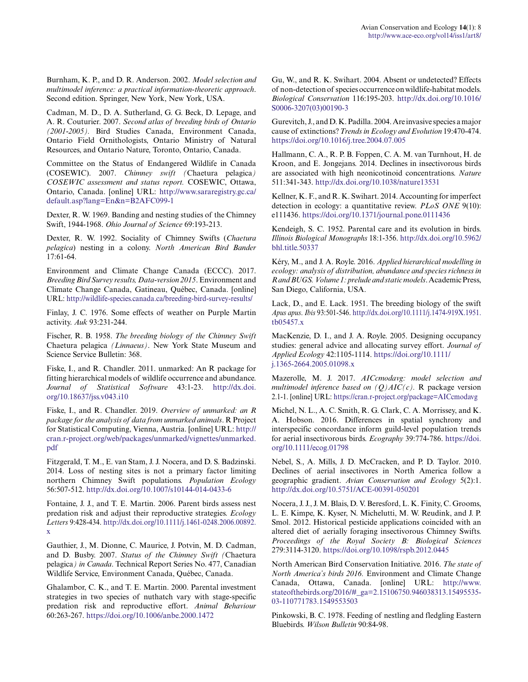Burnham, K. P., and D. R. Anderson. 2002. *Model selection and multimodel inference: a practical information-theoretic approach*. Second edition. Springer, New York, New York, USA.

Cadman, M. D., D. A. Sutherland, G. G. Beck, D. Lepage, and A. R. Couturier. 2007. *Second atlas of breeding birds of Ontario (2001-2005).* Bird Studies Canada, Environment Canada, Ontario Field Ornithologists, Ontario Ministry of Natural Resources, and Ontario Nature, Toronto, Ontario, Canada.

Committee on the Status of Endangered Wildlife in Canada (COSEWIC). 2007. *Chimney swift (*Chaetura pelagica*) COSEWIC assessment and status report.* COSEWIC, Ottawa, Ontario, Canada. [online] URL: [http://www.sararegistry.gc.ca/](http://www.sararegistry.gc.ca/default.asp?lang=En&n=B2AFC099-1) [default.asp?lang=En&n=B2AFC099-1](http://www.sararegistry.gc.ca/default.asp?lang=En&n=B2AFC099-1) 

Dexter, R. W. 1969. Banding and nesting studies of the Chimney Swift, 1944-1968. *Ohio Journal of Science* 69:193-213.

Dexter, R. W. 1992. Sociality of Chimney Swifts (*Chaetura pelagica*) nesting in a colony. *North American Bird Bander* 17:61-64.

Environment and Climate Change Canada (ECCC). 2017. *Breeding Bird Survey results, Data-version 2015*. Environment and Climate Change Canada, Gatineau, Québec, Canada. [online] URL:<http://wildlife-species.canada.ca/breeding-bird-survey-results/>

Finlay, J. C. 1976. Some effects of weather on Purple Martin activity. *Auk* 93:231-244.

Fischer, R. B. 1958. *The breeding biology of the Chimney Swift* Chaetura pelagica *(Linnaeus)*. New York State Museum and Science Service Bulletin: 368.

Fiske, I., and R. Chandler. 2011. unmarked: An R package for fitting hierarchical models of wildlife occurrence and abundance. *Journal of Statistical Software* 43:1-23. [http://dx.doi.](http://dx.doi.org/10.18637%2Fjss.v043.i10) [org/10.18637/jss.v043.i10](http://dx.doi.org/10.18637%2Fjss.v043.i10) 

Fiske, I., and R. Chandler. 2019. *Overview of unmarked: an R package for the analysis of data from unmarked animals*. R Project for Statistical Computing, Vienna, Austria. [online] URL: [http://](http://cran.r-project.org/web/packages/unmarked/vignettes/unmarked.pdf) [cran.r-project.org/web/packages/unmarked/vignettes/unmarked.](http://cran.r-project.org/web/packages/unmarked/vignettes/unmarked.pdf) [pdf](http://cran.r-project.org/web/packages/unmarked/vignettes/unmarked.pdf)

Fitzgerald, T. M., E. van Stam, J. J. Nocera, and D. S. Badzinski. 2014. Loss of nesting sites is not a primary factor limiting northern Chimney Swift populations. *Population Ecology* 56:507-512. [http://dx.doi.org/10.1007/s10144-014-0433-6](http://dx.doi.org/10.1007%2Fs10144-014-0433-6)

Fontaine, J. J., and T. E. Martin. 2006. Parent birds assess nest predation risk and adjust their reproductive strategies. *Ecology Letters* 9:428-434. [http://dx.doi.org/10.1111/j.1461-0248.2006.00892.](http://dx.doi.org/10.1111%2Fj.1461-0248.2006.00892.x) [x](http://dx.doi.org/10.1111%2Fj.1461-0248.2006.00892.x)

Gauthier, J., M. Dionne, C. Maurice, J. Potvin, M. D. Cadman, and D. Busby. 2007. *Status of the Chimney Swift (*Chaetura pelagica*) in Canada*. Technical Report Series No. 477, Canadian Wildlife Service, Environment Canada, Québec, Canada.

Ghalambor, C. K., and T. E. Martin. 2000. Parental investment strategies in two species of nuthatch vary with stage-specific predation risk and reproductive effort. *Animal Behaviour* 60:263-267.<https://doi.org/10.1006/anbe.2000.1472>

Gu, W., and R. K. Swihart. 2004. Absent or undetected? Effects of non-detection of species occurrence on wildlife-habitat models. *Biological Conservation* 116:195-203. [http://dx.doi.org/10.1016/](http://dx.doi.org/10.1016%2FS0006-3207%2803%2900190-3) [S0006-3207\(03\)00190-3](http://dx.doi.org/10.1016%2FS0006-3207%2803%2900190-3) 

Gurevitch, J., and D. K. Padilla. 2004. Are invasive species a major cause of extinctions? *Trends in Ecology and Evolution* 19:470-474. <https://doi.org/10.1016/j.tree.2004.07.005>

Hallmann, C. A., R. P. B. Foppen, C. A. M. van Turnhout, H. de Kroon, and E. Jongejans. 2014. Declines in insectivorous birds are associated with high neonicotinoid concentrations. *Nature* 511:341-343. [http://dx.doi.org/10.1038/nature13531](http://dx.doi.org/10.1038%2Fnature13531) 

Kellner, K. F., and R. K. Swihart. 2014. Accounting for imperfect detection in ecology: a quantitative review. *PLoS ONE* 9(10): e111436. <https://doi.org/10.1371/journal.pone.0111436>

Kendeigh, S. C. 1952. Parental care and its evolution in birds. *Illinois Biological Monographs* 18:1-356. [http://dx.doi.org/10.5962/](http://dx.doi.org/10.5962%2Fbhl.title.50337) [bhl.title.50337](http://dx.doi.org/10.5962%2Fbhl.title.50337)

Kéry, M., and J. A. Royle. 2016. *Applied hierarchical modelling in ecology: analysis of distribution, abundance and species richness in R and BUGS. Volume 1: prelude and static models*. Academic Press, San Diego, California, USA.

Lack, D., and E. Lack. 1951. The breeding biology of the swift *Apus apus*. *Ibis* 93:501-546. [http://dx.doi.org/10.1111/j.1474-919X.1951.](http://dx.doi.org/10.1111%2Fj.1474-919X.1951.tb05457.x) [tb05457.x](http://dx.doi.org/10.1111%2Fj.1474-919X.1951.tb05457.x)

MacKenzie, D. I., and J. A. Royle. 2005. Designing occupancy studies: general advice and allocating survey effort. *Journal of Applied Ecology* 42:1105-1114. [https://doi.org/10.1111/](https://doi.org/10.1111/j.1365-2664.2005.01098.x) [j.1365-2664.2005.01098.x](https://doi.org/10.1111/j.1365-2664.2005.01098.x)

Mazerolle, M. J. 2017. *AICcmodavg: model selection and multimodel inference based on (Q)AIC(c).* R package version 2.1-1. [online] URL: <https://cran.r-project.org/package=AICcmodavg>

Michel, N. L., A. C. Smith, R. G. Clark, C. A. Morrissey, and K. A. Hobson. 2016. Differences in spatial synchrony and interspecific concordance inform guild-level population trends for aerial insectivorous birds. *Ecography* 39:774-786. [https://doi.](https://doi.org/10.1111/ecog.01798) [org/10.1111/ecog.01798](https://doi.org/10.1111/ecog.01798)

Nebel, S., A. Mills, J. D. McCracken, and P. D. Taylor. 2010. Declines of aerial insectivores in North America follow a geographic gradient. *Avian Conservation and Ecology* 5(2):1. [http://dx.doi.org/10.5751/ACE-00391-050201](http://dx.doi.org/10.5751%2FACE-00391-050201) 

Nocera, J. J., J. M. Blais, D. V. Beresford, L. K. Finity, C. Grooms, L. E. Kimpe, K. Kyser, N. Michelutti, M. W. Reudink, and J. P. Smol. 2012. Historical pesticide applications coincided with an altered diet of aerially foraging insectivorous Chimney Swifts. *Proceedings of the Royal Society B: Biological Sciences* 279:3114-3120. <https://doi.org/10.1098/rspb.2012.0445>

North American Bird Conservation Initiative. 2016. *The state of North America's birds 2016.* Environment and Climate Change Canada, Ottawa, Canada. [online] URL: [http://www.](http://www.stateofthebirds.org/2016/#_ga=2.15106750.946038313.1549553503-110771783.1549553503) [stateofthebirds.org/2016/#\\_ga=2.15106750.946038313.15495535](http://www.stateofthebirds.org/2016/#_ga=2.15106750.946038313.1549553503-110771783.1549553503) [03-110771783.1549553503](http://www.stateofthebirds.org/2016/#_ga=2.15106750.946038313.1549553503-110771783.1549553503) 

Pinkowski, B. C. 1978. Feeding of nestling and fledgling Eastern Bluebirds. *Wilson Bulletin* 90:84-98.